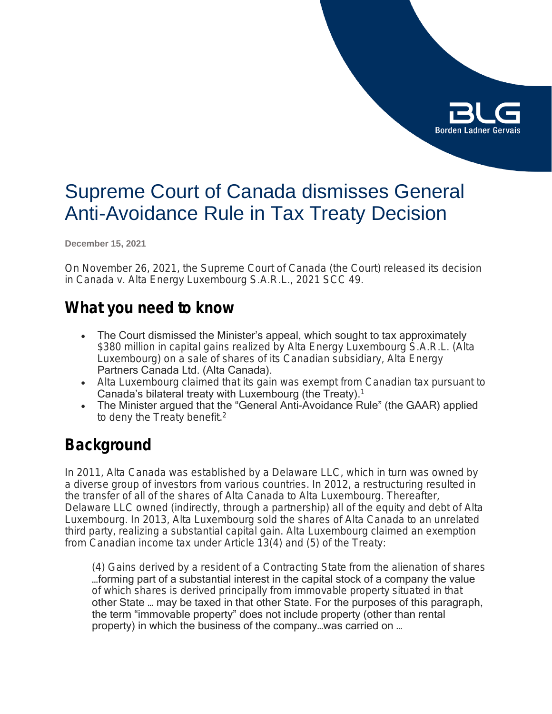

# Supreme Court of Canada dismisses General Anti-Avoidance Rule in Tax Treaty Decision

**December 15, 2021**

On November 26, 2021, the Supreme Court of Canada (the Court) released its decision in *Canada v. Alta Energy Luxembourg S.A.R.L.*, 2021 SCC 49.

### **What you need to know**

- The Court dismissed the Minister's appeal, which sought to tax approximately \$380 million in capital gains realized by Alta Energy Luxembourg S.A.R.L. (Alta Luxembourg) on a sale of shares of its Canadian subsidiary, Alta Energy Partners Canada Ltd. (Alta Canada).
- Alta Luxembourg claimed that its gain was exempt from Canadian tax pursuant to Canada's bilateral treaty with Luxembourg (the Treaty).<sup>1</sup>
- The Minister argued that the "General Anti-Avoidance Rule" (the GAAR) applied to deny the Treaty benefit.<sup>2</sup>

## **Background**

In 2011, Alta Canada was established by a Delaware LLC, which in turn was owned by a diverse group of investors from various countries. In 2012, a restructuring resulted in the transfer of all of the shares of Alta Canada to Alta Luxembourg. Thereafter, Delaware LLC owned (indirectly, through a partnership) all of the equity and debt of Alta Luxembourg. In 2013, Alta Luxembourg sold the shares of Alta Canada to an unrelated third party, realizing a substantial capital gain. Alta Luxembourg claimed an exemption from Canadian income tax under Article 13(4) and (5) of the Treaty:

(4) Gains derived by a resident of a Contracting State from the alienation of shares …forming part of a substantial interest in the capital stock of a company the value of which shares is derived principally from immovable property situated in that other State … may be taxed in that other State. For the purposes of this paragraph, the term "immovable property" does not include property (other than rental property) in which the business of the company…was carried on …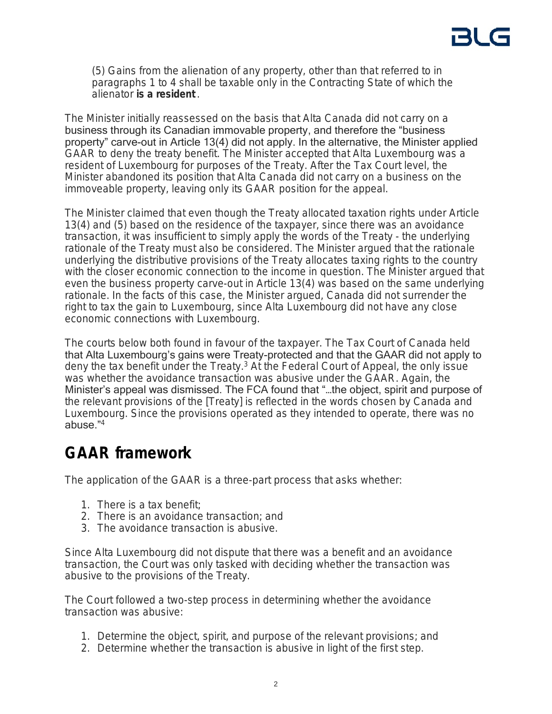(5) Gains from the alienation of any property, other than that referred to in paragraphs 1 to 4 shall be taxable only in the Contracting State of which the alienator **is a resident** .

The Minister initially reassessed on the basis that Alta Canada did not carry on a business through its Canadian immovable property, and therefore the "business property" carve-out in Article 13(4) did not apply. In the alternative, the Minister applied GAAR to deny the treaty benefit. The Minister accepted that Alta Luxembourg was a resident of Luxembourg for purposes of the Treaty. After the Tax Court level, the Minister abandoned its position that Alta Canada did not carry on a business on the immoveable property, leaving only its GAAR position for the appeal.

The Minister claimed that even though the Treaty allocated taxation rights under Article 13(4) and (5) based on the residence of the taxpayer, since there was an avoidance transaction, it was insufficient to simply apply the words of the Treaty - the underlying rationale of the Treaty must also be considered. The Minister argued that the rationale underlying the distributive provisions of the Treaty allocates taxing rights to the country with the closer economic connection to the income in question. The Minister argued that even the business property carve-out in Article 13(4) was based on the same underlying rationale. In the facts of this case, the Minister argued, Canada did not surrender the right to tax the gain to Luxembourg, since Alta Luxembourg did not have any close economic connections with Luxembourg.

The courts below both found in favour of the taxpayer. The Tax Court of Canada held that Alta Luxembourg's gains were Treaty-protected and that the GAAR did not apply to deny the tax benefit under the Treaty.<sup>3</sup> At the Federal Court of Appeal, the only issue was whether the avoidance transaction was abusive under the GAAR. Again, the Minister's appeal was dismissed. The FCA found that "…the object, spirit and purpose of the relevant provisions of the [Treaty] is reflected in the words chosen by Canada and Luxembourg. Since the provisions operated as they intended to operate, there was no abuse." 4

## **GAAR framework**

The application of the GAAR is a three-part process that asks whether:

- 1. There is a tax benefit;
- 2. There is an avoidance transaction; and
- 3. The avoidance transaction is abusive.

Since Alta Luxembourg did not dispute that there was a benefit and an avoidance transaction, the Court was only tasked with deciding whether the transaction was abusive to the provisions of the Treaty.

The Court followed a two-step process in determining whether the avoidance transaction was abusive:

- 1. Determine the object, spirit, and purpose of the relevant provisions; and
- 2. Determine whether the transaction is abusive in light of the first step.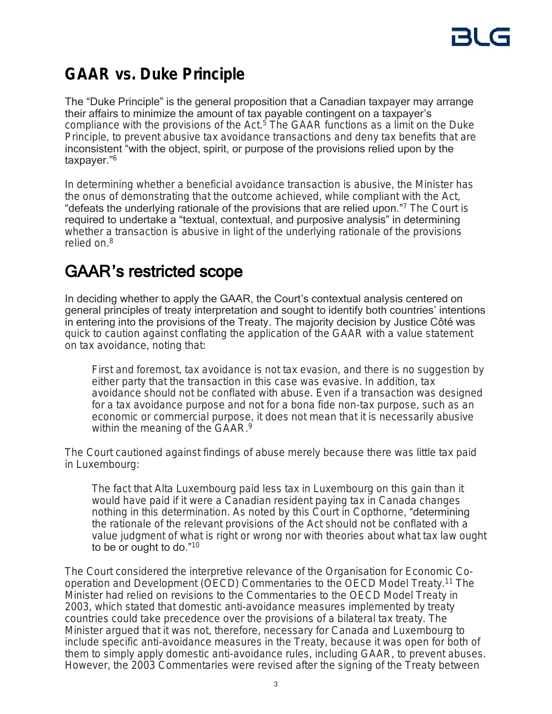

## **GAAR vs. Duke Principle**

The "Duke Principle" is the general proposition that a Canadian taxpayer may arrange their affairs to minimize the amount of tax payable contingent on a taxpayer's compliance with the provisions of the Act.<sup>5</sup> The GAAR functions as a limit on the Duke Principle, to prevent abusive tax avoidance transactions and deny tax benefits that are inconsistent "with the object, spirit, or purpose of the provisions relied upon by the taxpayer." 6

In determining whether a beneficial avoidance transaction is abusive, the Minister has the onus of demonstrating that the outcome achieved, while compliant with the Act, "defeats the underlying rationale of the provisions that are relied upon."<sup>7</sup> The Court is required to undertake a "textual, contextual, and purposive analysis" in determining whether a transaction is abusive in light of the underlying rationale of the provisions relied on.<sup>8</sup>

## GAAR's restricted scope

In deciding whether to apply the GAAR, the Court's contextual analysis centered on general principles of treaty interpretation and sought to identify both countries' intentions in entering into the provisions of the Treaty. The majority decision by Justice Côté was quick to caution against conflating the application of the GAAR with a value statement on tax avoidance, noting that:

First and foremost, tax avoidance is *not* tax evasion, and there is no suggestion by either party that the transaction in this case was evasive. In addition, tax avoidance should not be conflated with abuse. Even if a transaction was designed for a tax avoidance purpose and not for a *bona fide* non-tax purpose, such as an economic or commercial purpose, it does not mean that it is necessarily abusive within the meaning of the GAAR.<sup>9</sup>

The Court cautioned against findings of abuse merely because there was little tax paid in Luxembourg:

The fact that Alta Luxembourg paid less tax in Luxembourg on this gain than it would have paid if it were a Canadian resident paying tax in Canada changes nothing in this determination. As noted by this Court in *Copthorne*, "determining the rationale of the relevant provisions of the Act should not be conflated with a value judgment of what is right or wrong nor with theories about what tax law ought to be or ought to do."<sup>10</sup>

The Court considered the interpretive relevance of the Organisation for Economic Cooperation and Development (OECD) Commentaries to the OECD Model Treaty.<sup>11</sup> The Minister had relied on revisions to the Commentaries to the OECD Model Treaty in 2003, which stated that domestic anti-avoidance measures implemented by treaty countries could take precedence over the provisions of a bilateral tax treaty. The Minister argued that it was not, therefore, necessary for Canada and Luxembourg to include specific anti-avoidance measures in the Treaty, because it was open for both of them to simply apply domestic anti-avoidance rules, including GAAR, to prevent abuses. However, the 2003 Commentaries were revised *after* the signing of the Treaty between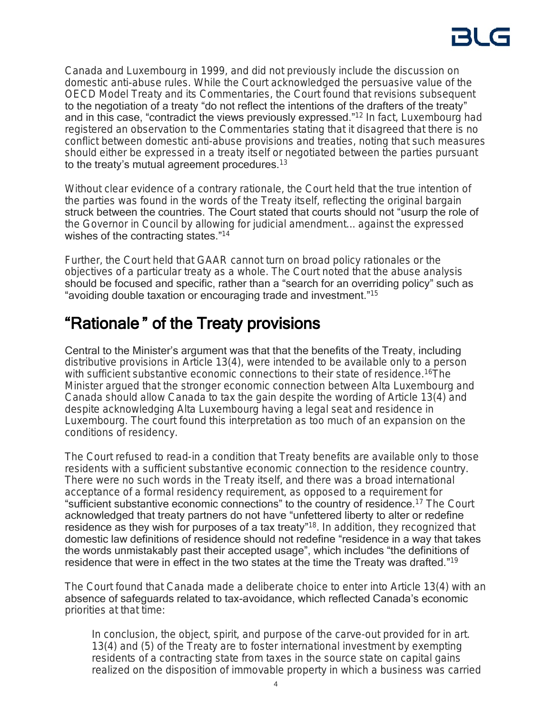Canada and Luxembourg in 1999, and did not previously include the discussion on domestic anti-abuse rules. While the Court acknowledged the persuasive value of the OECD Model Treaty and its Commentaries, the Court found that revisions subsequent to the negotiation of a treaty "do not reflect the intentions of the drafters of the treaty" and in this case, "contradict the views previously expressed."<sup>12</sup> In fact, Luxembourg had registered an observation to the Commentaries stating that it disagreed that there is no conflict between domestic anti-abuse provisions and treaties, noting that such measures should either be expressed in a treaty itself or negotiated between the parties pursuant to the treaty's mutual agreement procedures. $13$ 

Without clear evidence of a contrary rationale, the Court held that the true intention of the parties was found in the words of the Treaty itself, reflecting the original bargain struck between the countries. The Court stated that courts should not "usurp the role of the Governor in Council by allowing for judicial amendment... against the expressed wishes of the contracting states."<sup>14</sup>

Further, the Court held that GAAR cannot turn on broad policy rationales or the objectives of a particular treaty as a whole. The Court noted that the abuse analysis should be focused and specific, rather than a "search for an overriding policy" such as "avoiding double taxation or encouraging trade and investment." 15

# "Rationale " of the Treaty provisions

Central to the Minister's argument was that that the benefits of the Treaty, including distributive provisions in Article 13(4), were intended to be available only to a person with sufficient substantive economic connections to their state of residence.<sup>16</sup>The Minister argued that the stronger economic connection between Alta Luxembourg and Canada should allow Canada to tax the gain despite the wording of Article 13(4) and despite acknowledging Alta Luxembourg having a legal seat and residence in Luxembourg. The court found this interpretation as too much of an expansion on the conditions of residency.

The Court refused to read-in a condition that Treaty benefits are available only to those residents with a sufficient substantive economic connection to the residence country. There were no such words in the Treaty itself, and there was a broad international acceptance of a formal residency requirement, as opposed to a requirement for "sufficient substantive economic connections" to the country of residence.<sup>17</sup> The Court acknowledged that treaty partners do not have "unfettered liberty to alter or redefine residence as they wish for purposes of a tax treaty"<sup>18</sup>. In addition, they recognized that domestic law definitions of residence should not redefine "residence in a way that takes the words unmistakably past their accepted usage", which includes "the definitions of residence that were in effect in the two states at the time the Treaty was drafted."<sup>19</sup>

The Court found that Canada made a deliberate choice to enter into Article 13(4) with an absence of safeguards related to tax-avoidance, which reflected Canada's economic priorities at that time:

In conclusion, the object, spirit, and purpose of the carve-out provided for in art. 13(4) and (5) of the Treaty are to foster international investment by exempting residents of a contracting state from taxes in the source state on capital gains realized on the disposition of immovable property in which a business was carried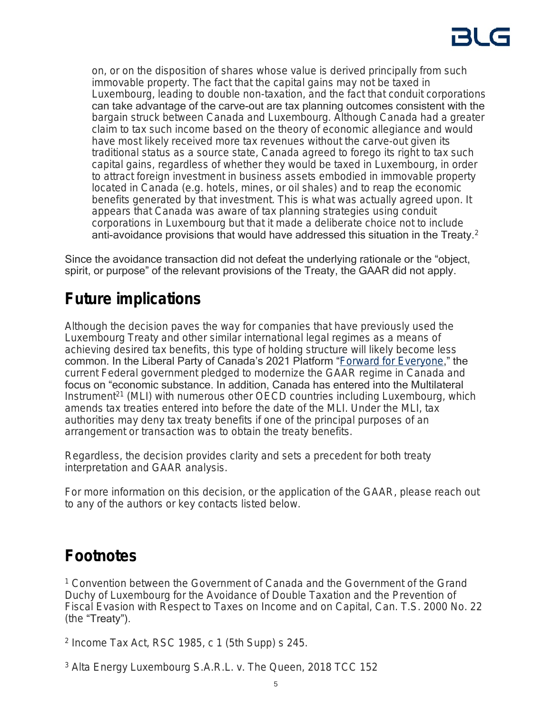on, or on the disposition of shares whose value is derived principally from such immovable property. The fact that the capital gains may not be taxed in Luxembourg, leading to double non-taxation, and the fact that conduit corporations can take advantage of the carve-out are tax planning outcomes consistent with the bargain struck between Canada and Luxembourg. Although Canada had a greater claim to tax such income based on the theory of economic allegiance and would have most likely received more tax revenues without the carve-out given its traditional status as a source state, Canada agreed to forego its right to tax such capital gains, regardless of whether they would be taxed in Luxembourg, in order to attract foreign investment in business assets embodied in immovable property located in Canada (e.g. hotels, mines, or oil shales) and to reap the economic benefits generated by that investment. This is what was actually agreed upon. It appears that Canada was aware of tax planning strategies using conduit corporations in Luxembourg but that it made a deliberate choice not to include anti-avoidance provisions that would have addressed this situation in the Treaty.<sup>2</sup>

Since the avoidance transaction did not defeat the underlying rationale or the "object, spirit, or purpose" of the relevant provisions of the Treaty, the GAAR did not apply.

# **Future implications**

Although the decision paves the way for companies that have previously used the Luxembourg Treaty and other similar international legal regimes as a means of achieving desired tax benefits, this type of holding structure will likely become less common. In the Liberal Party of Canada's 2021 Platform "[Forward for Everyone](https://liberal.ca/our-platform)," the current Federal government pledged to modernize the GAAR regime in Canada and focus on "economic substance. In addition, Canada has entered into the Multilateral Instrument<sup>21</sup> (MLI) with numerous other OECD countries including Luxembourg, which amends tax treaties entered into before the date of the MLI. Under the MLI, tax authorities may deny tax treaty benefits if one of the principal purposes of an arrangement or transaction was to obtain the treaty benefits.

Regardless, the decision provides clarity and sets a precedent for both treaty interpretation and GAAR analysis.

For more information on this decision, or the application of the GAAR, please reach out to any of the authors or key contacts listed below.

## **Footnotes**

<sup>1</sup> Convention between the Government of Canada and the Government of the Grand Duchy of Luxembourg for the Avoidance of Double Taxation and the Prevention of Fiscal Evasion with Respect to Taxes on Income and on Capital, Can. T.S. 2000 No. 22 (the "Treaty").

2 *Income Tax Act*, RSC 1985, c 1 (5th Supp) s 245.

<sup>3</sup> *Alta Energy Luxembourg S.A.R.L. v. The Queen*, 2018 TCC 152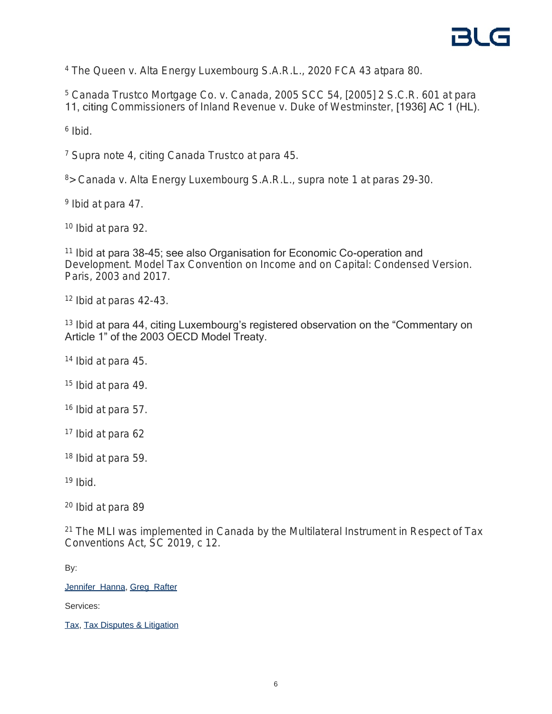<sup>4</sup> *The Queen v. Alta Energy Luxembourg S.A.R.L.*, 2020 FCA 43 atpara 80.

<sup>5</sup> *Canada Trustco Mortgage Co. v. Canada*, 2005 SCC 54, [2005] 2 S.C.R. 601 at para 11, citing *Commissioners of Inland Revenue v. Duke of Westminster*, [1936] AC 1 (HL).

6 *Ibid.*

<sup>7</sup> *Supra* note 4, citing *Canada Trustco* at para 45.

<sup>8</sup>> *Canada v. Alta Energy Luxembourg S.A.R.L.*, *supra* note 1 at paras 29-30.

9 *Ibid* at para 47.

<sup>10</sup> *Ibid* at para 92.

<sup>11</sup> Ibid at para 38-45; see also Organisation for Economic Co-operation and Development. Model Tax Convention on Income and on Capital: Condensed Version. Paris, 2003 and 2017.

<sup>12</sup> *Ibid* at paras 42-43.

<sup>13</sup> Ibid at para 44, citing Luxembourg's registered observation on the "Commentary on Article 1" of the 2003 OECD Model Treaty.

<sup>14</sup> *Ibid* at para 45.

<sup>15</sup> *Ibid* at para 49.

<sup>16</sup> *Ibid* at para 57.

<sup>17</sup> *Ibid* at para 62

<sup>18</sup> *Ibid* at para 59.

<sup>19</sup> *Ibid*.

<sup>20</sup> *Ibid* at para 89

<sup>21</sup> The MLI was implemented in Canada by the *Multilateral Instrument in Respect of Tax Conventions Act*, SC 2019, c 12.

By:

[Jennifer Hanna](https://www.blg.com/en/people/h/hanna-jennifer), [Greg Rafter](https://www.blg.com/en/student-programs/meet-our-students/calgary/rafter-greg)

Services:

[Tax,](https://www.blg.com/en/services/practice-areas/tax) [Tax Disputes & Litigation](https://www.blg.com/en/services/practice-areas/disputes/tax-disputes-litigation)